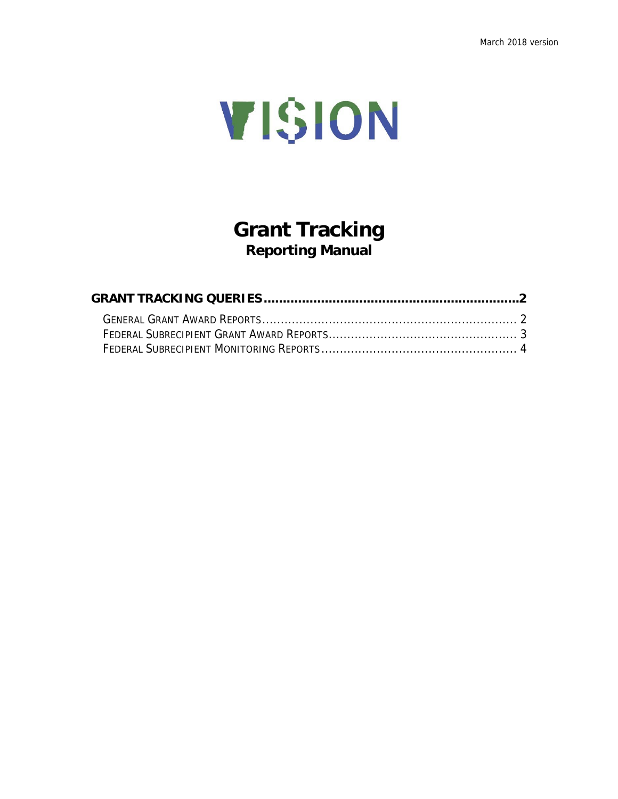

## **Grant Tracking Reporting Manual**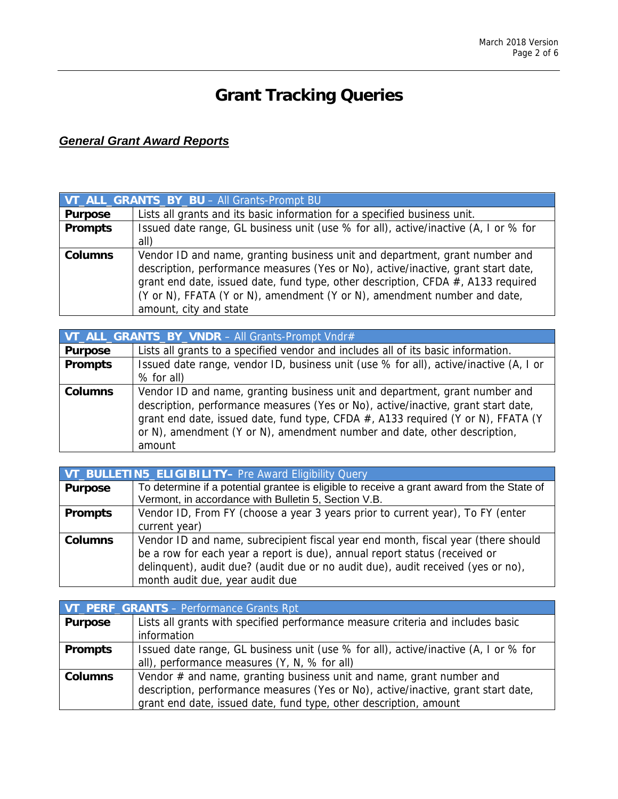# **Grant Tracking Queries**

## *General Grant Award Reports*

| VT_ALL_GRANTS_BY_BU - All Grants-Prompt BU |                                                                                     |
|--------------------------------------------|-------------------------------------------------------------------------------------|
| <b>Purpose</b>                             | Lists all grants and its basic information for a specified business unit.           |
| <b>Prompts</b>                             | Issued date range, GL business unit (use % for all), active/inactive (A, I or % for |
|                                            | all)                                                                                |
| <b>Columns</b>                             | Vendor ID and name, granting business unit and department, grant number and         |
|                                            | description, performance measures (Yes or No), active/inactive, grant start date,   |
|                                            | grant end date, issued date, fund type, other description, CFDA #, A133 required    |
|                                            | (Y or N), FFATA (Y or N), amendment (Y or N), amendment number and date,            |
|                                            | amount, city and state                                                              |

| VT_ALL_GRANTS_BY_VNDR - All Grants-Prompt Vndr# |                                                                                                                                                                                                                                                                                                                                            |
|-------------------------------------------------|--------------------------------------------------------------------------------------------------------------------------------------------------------------------------------------------------------------------------------------------------------------------------------------------------------------------------------------------|
| <b>Purpose</b>                                  | Lists all grants to a specified vendor and includes all of its basic information.                                                                                                                                                                                                                                                          |
| <b>Prompts</b>                                  | Issued date range, vendor ID, business unit (use % for all), active/inactive (A, I or                                                                                                                                                                                                                                                      |
|                                                 | % for all)                                                                                                                                                                                                                                                                                                                                 |
| <b>Columns</b>                                  | Vendor ID and name, granting business unit and department, grant number and<br>description, performance measures (Yes or No), active/inactive, grant start date,<br>grant end date, issued date, fund type, CFDA #, A133 required (Y or N), FFATA (Y<br>or N), amendment (Y or N), amendment number and date, other description,<br>amount |

| VT_BULLETIN5_ELIGIBILITY- Pre Award Eligibility Query |                                                                                            |
|-------------------------------------------------------|--------------------------------------------------------------------------------------------|
| <b>Purpose</b>                                        | To determine if a potential grantee is eligible to receive a grant award from the State of |
|                                                       | Vermont, in accordance with Bulletin 5, Section V.B.                                       |
| <b>Prompts</b>                                        | Vendor ID, From FY (choose a year 3 years prior to current year), To FY (enter             |
|                                                       | current year)                                                                              |
| <b>Columns</b>                                        | Vendor ID and name, subrecipient fiscal year end month, fiscal year (there should          |
|                                                       | be a row for each year a report is due), annual report status (received or                 |
|                                                       | delinguent), audit due? (audit due or no audit due), audit received (yes or no),           |
|                                                       | month audit due, year audit due                                                            |

|                | VT_PERF_GRANTS - Performance Grants Rpt                                             |
|----------------|-------------------------------------------------------------------------------------|
| <b>Purpose</b> | Lists all grants with specified performance measure criteria and includes basic     |
|                | information                                                                         |
| <b>Prompts</b> | Issued date range, GL business unit (use % for all), active/inactive (A, I or % for |
|                | all), performance measures (Y, N, % for all)                                        |
| <b>Columns</b> | Vendor $#$ and name, granting business unit and name, grant number and              |
|                | description, performance measures (Yes or No), active/inactive, grant start date,   |
|                | grant end date, issued date, fund type, other description, amount                   |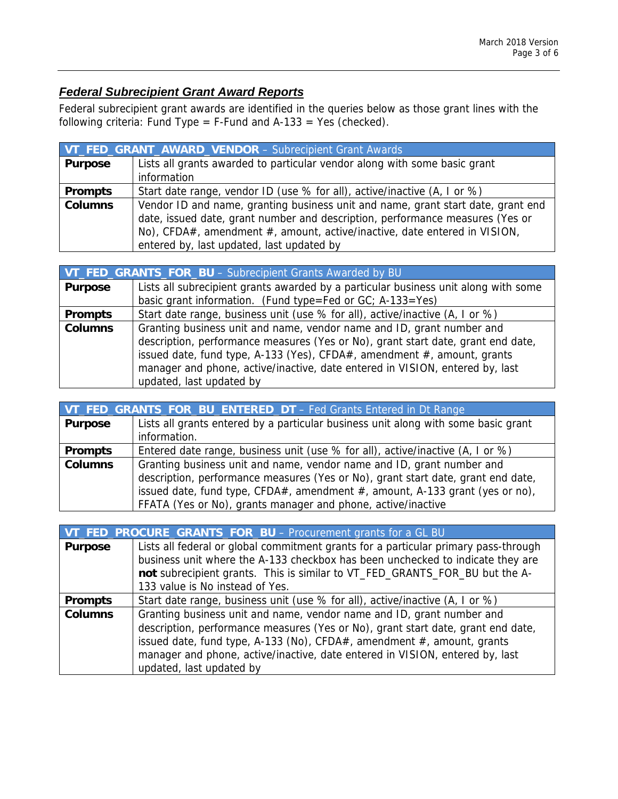### *Federal Subrecipient Grant Award Reports*

Federal subrecipient grant awards are identified in the queries below as those grant lines with the following criteria: Fund Type = F-Fund and A-133 = Yes (checked).

| VT_FED_GRANT_AWARD_VENDOR - Subrecipient Grant Awards |                                                                                  |
|-------------------------------------------------------|----------------------------------------------------------------------------------|
| <b>Purpose</b>                                        | Lists all grants awarded to particular vendor along with some basic grant        |
|                                                       | information                                                                      |
| <b>Prompts</b>                                        | Start date range, vendor ID (use % for all), active/inactive (A, I or %)         |
| <b>Columns</b>                                        | Vendor ID and name, granting business unit and name, grant start date, grant end |
|                                                       | date, issued date, grant number and description, performance measures (Yes or    |
|                                                       | No), CFDA#, amendment #, amount, active/inactive, date entered in VISION,        |
|                                                       | entered by, last updated, last updated by                                        |

|                | VT_FED_GRANTS_FOR_BU - Subrecipient Grants Awarded by BU                            |
|----------------|-------------------------------------------------------------------------------------|
| <b>Purpose</b> | Lists all subrecipient grants awarded by a particular business unit along with some |
|                | basic grant information. (Fund type=Fed or GC; A-133=Yes)                           |
| <b>Prompts</b> | Start date range, business unit (use % for all), active/inactive (A, I or %)        |
| <b>Columns</b> | Granting business unit and name, vendor name and ID, grant number and               |
|                | description, performance measures (Yes or No), grant start date, grant end date,    |
|                | issued date, fund type, A-133 (Yes), CFDA#, amendment #, amount, grants             |
|                | manager and phone, active/inactive, date entered in VISION, entered by, last        |
|                | updated, last updated by                                                            |

| VT_FED_GRANTS_FOR_BU_ENTERED_DT - Fed Grants Entered in Dt Range |                                                                                    |
|------------------------------------------------------------------|------------------------------------------------------------------------------------|
| <b>Purpose</b>                                                   | Lists all grants entered by a particular business unit along with some basic grant |
|                                                                  | information.                                                                       |
| <b>Prompts</b>                                                   | Entered date range, business unit (use % for all), active/inactive (A, I or %)     |
| <b>Columns</b>                                                   | Granting business unit and name, vendor name and ID, grant number and              |
|                                                                  | description, performance measures (Yes or No), grant start date, grant end date,   |
|                                                                  | issued date, fund type, CFDA#, amendment $#$ , amount, A-133 grant (yes or no),    |
|                                                                  | FFATA (Yes or No), grants manager and phone, active/inactive                       |

|                | VT_FED_PROCURE_GRANTS_FOR_BU - Procurement grants for a GL BU                       |
|----------------|-------------------------------------------------------------------------------------|
| <b>Purpose</b> | Lists all federal or global commitment grants for a particular primary pass-through |
|                | business unit where the A-133 checkbox has been unchecked to indicate they are      |
|                | not subrecipient grants. This is similar to VT_FED_GRANTS_FOR_BU but the A-         |
|                | 133 value is No instead of Yes.                                                     |
| <b>Prompts</b> | Start date range, business unit (use % for all), active/inactive (A, I or %)        |
| <b>Columns</b> | Granting business unit and name, vendor name and ID, grant number and               |
|                | description, performance measures (Yes or No), grant start date, grant end date,    |
|                | issued date, fund type, A-133 (No), CFDA#, amendment #, amount, grants              |
|                | manager and phone, active/inactive, date entered in VISION, entered by, last        |
|                | updated, last updated by                                                            |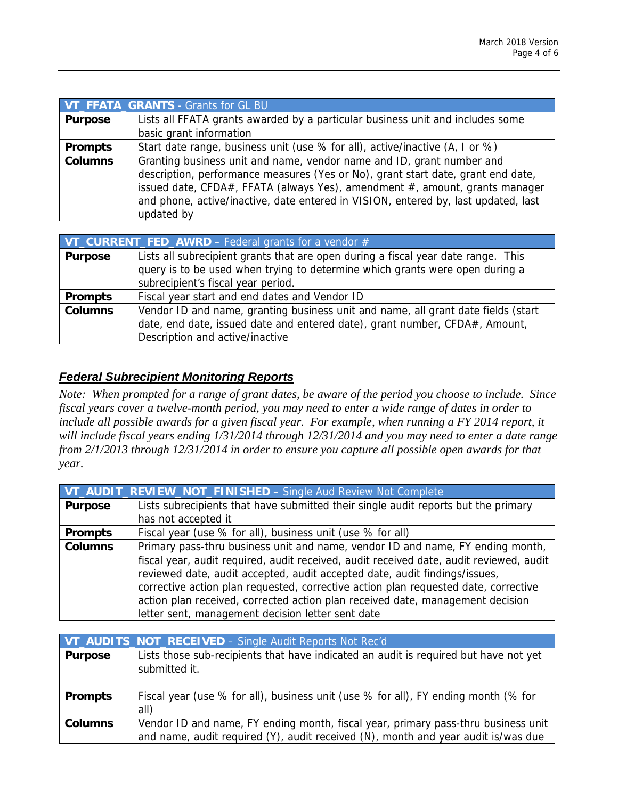|                | VT_FFATA_GRANTS - Grants for GL BU                                                 |
|----------------|------------------------------------------------------------------------------------|
| <b>Purpose</b> | Lists all FFATA grants awarded by a particular business unit and includes some     |
|                | basic grant information                                                            |
| <b>Prompts</b> | Start date range, business unit (use % for all), active/inactive (A, I or %)       |
| <b>Columns</b> | Granting business unit and name, vendor name and ID, grant number and              |
|                | description, performance measures (Yes or No), grant start date, grant end date,   |
|                | issued date, CFDA#, FFATA (always Yes), amendment #, amount, grants manager        |
|                | and phone, active/inactive, date entered in VISION, entered by, last updated, last |
|                | updated by                                                                         |

| <b>VT_CURRENT_FED_AWRD</b> $-$ Federal grants for a vendor $#$ |                                                                                                                                                                                                         |
|----------------------------------------------------------------|---------------------------------------------------------------------------------------------------------------------------------------------------------------------------------------------------------|
| <b>Purpose</b>                                                 | Lists all subrecipient grants that are open during a fiscal year date range. This<br>query is to be used when trying to determine which grants were open during a<br>subrecipient's fiscal year period. |
| <b>Prompts</b>                                                 | Fiscal year start and end dates and Vendor ID                                                                                                                                                           |
| <b>Columns</b>                                                 | Vendor ID and name, granting business unit and name, all grant date fields (start<br>date, end date, issued date and entered date), grant number, CFDA#, Amount,<br>Description and active/inactive     |

#### *Federal Subrecipient Monitoring Reports*

*Note: When prompted for a range of grant dates, be aware of the period you choose to include. Since fiscal years cover a twelve-month period, you may need to enter a wide range of dates in order to include all possible awards for a given fiscal year. For example, when running a FY 2014 report, it will include fiscal years ending 1/31/2014 through 12/31/2014 and you may need to enter a date range from 2/1/2013 through 12/31/2014 in order to ensure you capture all possible open awards for that year.* 

|                | VT_AUDIT_REVIEW_NOT_FINISHED - Single Aud Review Not Complete                           |
|----------------|-----------------------------------------------------------------------------------------|
| <b>Purpose</b> | Lists subrecipients that have submitted their single audit reports but the primary      |
|                | has not accepted it                                                                     |
| <b>Prompts</b> | Fiscal year (use % for all), business unit (use % for all)                              |
| <b>Columns</b> | Primary pass-thru business unit and name, vendor ID and name, FY ending month,          |
|                | fiscal year, audit required, audit received, audit received date, audit reviewed, audit |
|                | reviewed date, audit accepted, audit accepted date, audit findings/issues,              |
|                | corrective action plan requested, corrective action plan requested date, corrective     |
|                | action plan received, corrected action plan received date, management decision          |
|                | letter sent, management decision letter sent date                                       |

|                | VT_AUDITS_NOT_RECEIVED - Single Audit Reports Not Rec'd                                                                                                                |
|----------------|------------------------------------------------------------------------------------------------------------------------------------------------------------------------|
| <b>Purpose</b> | Lists those sub-recipients that have indicated an audit is required but have not yet<br>submitted it.                                                                  |
| <b>Prompts</b> | Fiscal year (use % for all), business unit (use % for all), FY ending month (% for<br>all)                                                                             |
| <b>Columns</b> | Vendor ID and name, FY ending month, fiscal year, primary pass-thru business unit<br>and name, audit required (Y), audit received (N), month and year audit is/was due |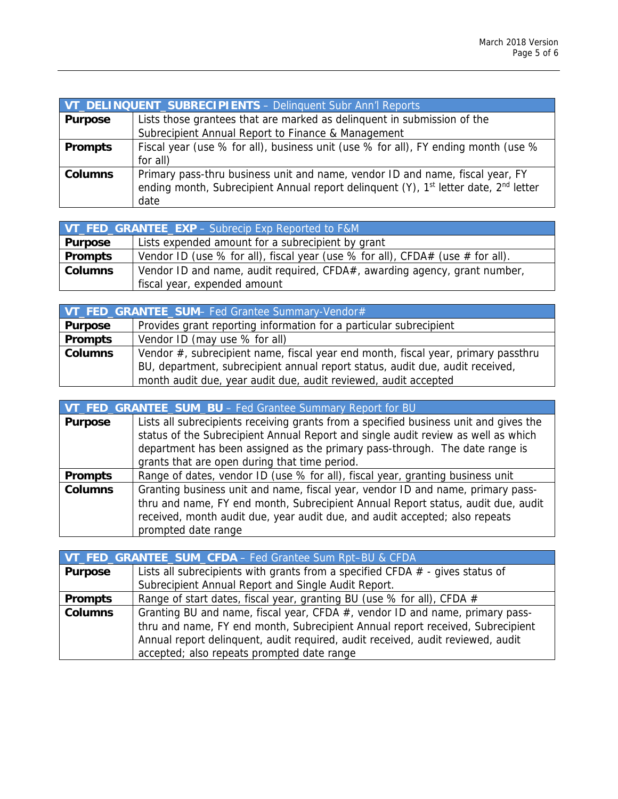| VT DELINQUENT_SUBRECIPIENTS - Delinquent Subr Ann'l Reports |                                                                                                                                                                                                       |
|-------------------------------------------------------------|-------------------------------------------------------------------------------------------------------------------------------------------------------------------------------------------------------|
| <b>Purpose</b>                                              | Lists those grantees that are marked as delinquent in submission of the                                                                                                                               |
|                                                             | Subrecipient Annual Report to Finance & Management                                                                                                                                                    |
| <b>Prompts</b>                                              | Fiscal year (use % for all), business unit (use % for all), FY ending month (use %                                                                                                                    |
|                                                             | for all)                                                                                                                                                                                              |
| <b>Columns</b>                                              | Primary pass-thru business unit and name, vendor ID and name, fiscal year, FY<br>ending month, Subrecipient Annual report delinguent (Y), 1 <sup>st</sup> letter date, 2 <sup>nd</sup> letter<br>date |

| VT_FED_GRANTEE_EXP - Subrecip Exp Reported to F&M |                                                                                |
|---------------------------------------------------|--------------------------------------------------------------------------------|
| <b>Purpose</b>                                    | Lists expended amount for a subrecipient by grant                              |
| <b>Prompts</b>                                    | Vendor ID (use % for all), fiscal year (use % for all), CFDA# (use # for all). |
| <b>Columns</b>                                    | Vendor ID and name, audit required, CFDA#, awarding agency, grant number,      |
|                                                   | fiscal year, expended amount                                                   |

| VT_FED_GRANTEE_SUM- Fed Grantee Summary-Vendor# |                                                                                   |
|-------------------------------------------------|-----------------------------------------------------------------------------------|
| <b>Purpose</b>                                  | Provides grant reporting information for a particular subrecipient                |
| <b>Prompts</b>                                  | Vendor ID (may use % for all)                                                     |
| <b>Columns</b>                                  | Vendor #, subrecipient name, fiscal year end month, fiscal year, primary passthru |
|                                                 | BU, department, subrecipient annual report status, audit due, audit received,     |
|                                                 | month audit due, year audit due, audit reviewed, audit accepted                   |

| VT_FED_GRANTEE_SUM_BU - Fed Grantee Summary Report for BU |                                                                                       |
|-----------------------------------------------------------|---------------------------------------------------------------------------------------|
| <b>Purpose</b>                                            | Lists all subrecipients receiving grants from a specified business unit and gives the |
|                                                           | status of the Subrecipient Annual Report and single audit review as well as which     |
|                                                           | department has been assigned as the primary pass-through. The date range is           |
|                                                           | grants that are open during that time period.                                         |
| <b>Prompts</b>                                            | Range of dates, vendor ID (use % for all), fiscal year, granting business unit        |
| <b>Columns</b>                                            | Granting business unit and name, fiscal year, vendor ID and name, primary pass-       |
|                                                           | thru and name, FY end month, Subrecipient Annual Report status, audit due, audit      |
|                                                           | received, month audit due, year audit due, and audit accepted; also repeats           |
|                                                           | prompted date range                                                                   |

| VT_FED_GRANTEE_SUM_CFDA - Fed Grantee Sum Rpt-BU & CFDA |                                                                                 |
|---------------------------------------------------------|---------------------------------------------------------------------------------|
| <b>Purpose</b>                                          | Lists all subrecipients with grants from a specified CFDA $#$ - gives status of |
|                                                         | Subrecipient Annual Report and Single Audit Report.                             |
| <b>Prompts</b>                                          | Range of start dates, fiscal year, granting BU (use % for all), CFDA #          |
| <b>Columns</b>                                          | Granting BU and name, fiscal year, CFDA #, vendor ID and name, primary pass-    |
|                                                         | thru and name, FY end month, Subrecipient Annual report received, Subrecipient  |
|                                                         | Annual report delinquent, audit required, audit received, audit reviewed, audit |
|                                                         | accepted; also repeats prompted date range                                      |